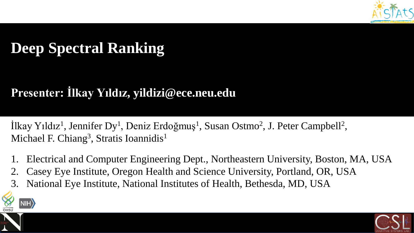

# **Deep Spectral Ranking**

# **Presenter: İlkay Yıldız, yildizi@ece.neu.edu**

İlkay Yıldız<sup>1</sup>, Jennifer Dy<sup>1</sup>, Deniz Erdoğmuş<sup>1</sup>, Susan Ostmo<sup>2</sup>, J. Peter Campbell<sup>2</sup>, Michael F. Chiang<sup>3</sup>, Stratis Ioannidis<sup>1</sup>

- 1. Electrical and Computer Engineering Dept., Northeastern University, Boston, MA, USA
- 2. Casey Eye Institute, Oregon Health and Science University, Portland, OR, USA
- 3. National Eye Institute, National Institutes of Health, Bethesda, MD, USA





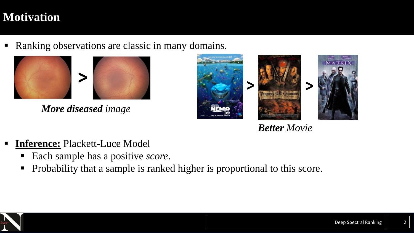# **Motivation**

■ Ranking observations are classic in many domains.



*More diseased image*





*Better Movie*

- **Inference:** Plackett-Luce Model
	- Each sample has a positive *score*.
	- **•** Probability that a sample is ranked higher is proportional to this score.

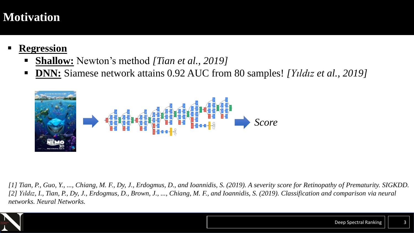# **Motivation**

- **Regression** 
	- **Shallow:** Newton's method *[Tian et al., 2019]*
	- **DNN:** Siamese network attains 0.92 AUC from 80 samples! *[Yıldız et al., 2019]*



*[1] Tian, P., Guo, Y., ..., Chiang, M. F., Dy, J., Erdogmus, D., and Ioannidis, S. (2019). A severity score for Retinopathy of Prematurity. SIGKDD. [2] Yıldız, I., Tian, P., Dy, J., Erdogmus, D., Brown, J., ..., Chiang, M. F., and Ioannidis, S. (2019). Classification and comparison via neural networks. Neural Networks.*

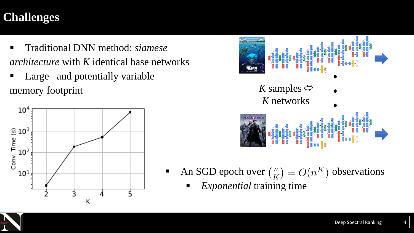# **Challenges**

- Traditional DNN method: *siamese architecture* with *K* identical base networks
- Large –and potentially variable– memory footprint  $K$  samples  $\Leftrightarrow$





- An SGD epoch over  $\binom{n}{K} = O(n^K)$  observations
	- *Exponential* training time

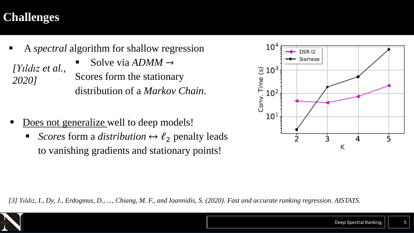# **Challenges**

- A *spectral* algorithm for shallow regression Solve via  $ADMM \rightarrow$ Scores form the stationary distribution of a *Markov Chain*. *[Yıldız et al., 2020]*
- Does not generalize well to deep models!
	- *Scores* form a *distribution*  $\leftrightarrow l_2$  penalty leads to vanishing gradients and stationary points!



*[3] Yıldız, I., Dy, J., Erdogmus, D., ..., Chiang, M. F., and Ioannidis, S. (2020). Fast and accurate ranking regression. AISTATS.*

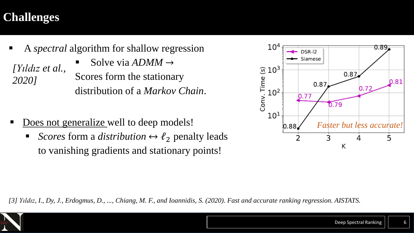# **Challenges**

- A *spectral* algorithm for shallow regression Solve via  $ADMM \rightarrow$ Scores form the stationary distribution of a *Markov Chain*. *[Yıldız et al., 2020]*
- Does not generalize well to deep models!
	- *Scores* form a *distribution*  $\leftrightarrow l_2$  penalty leads to vanishing gradients and stationary points!



*[3] Yıldız, I., Dy, J., Erdogmus, D., ..., Chiang, M. F., and Ioannidis, S. (2020). Fast and accurate ranking regression. AISTATS.*

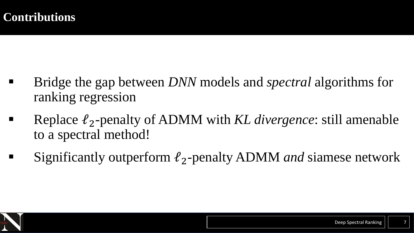- Bridge the gap between *DNN* models and *spectral* algorithms for ranking regression
- Replace ℓ2-penalty of ADMM with *KL divergence*: still amenable to a spectral method!
- Significantly outperform  $\ell_2$ -penalty ADMM *and* siamese network

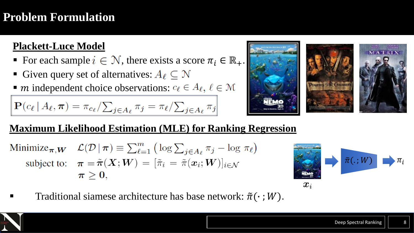# **Problem Formulation**

#### **Plackett-Luce Model**

- For each sample  $i \in \mathcal{N}$ , there exists a score  $\pi_i \in \mathbb{R}_+$ .
- **Given query set of alternatives:**  $A_\ell \subset \mathbb{N}$
- $\blacksquare$  *m* independent choice observations:  $c_{\ell} \in A_{\ell}$ ,  $\ell \in \mathcal{M}$

$$
\mathbf{P}(c_{\ell} | A_{\ell}, \boldsymbol{\pi}) = \pi_{c_{\ell}} / \sum_{j \in A_{\ell}} \pi_j = \pi_{\ell} / \sum_{j \in A_{\ell}} \pi_j
$$



### **Maximum Likelihood Estimation (MLE) for Ranking Regression**

Minimize<sub> $\pi, W$ </sub>  $\mathcal{L}(\mathcal{D} | \pi) \equiv \sum_{\ell=1}^m (\log \sum_{i \in A_\ell} \pi_i - \log \pi_\ell)$ subject to:  $\pi = \tilde{\pi}(X;W) = [\tilde{\pi}_i = \tilde{\pi}(x_i;W)]_{i \in \mathcal{N}}$  $\pi \geq 0,$ 



Traditional siamese architecture has base network:  $\tilde{\pi}(\cdot; W)$ .

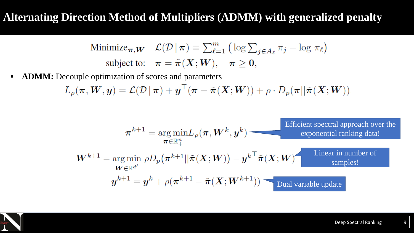### **Alternating Direction Method of Multipliers (ADMM) with generalized penalty**

Minimize<sub>$$
\pi
$$</sub>, $\mathbf{w}$   $\mathcal{L}(\mathcal{D} | \pi) \equiv \sum_{\ell=1}^{m} (\log \sum_{j \in A_{\ell}} \pi_j - \log \pi_{\ell})$   
subject to:  $\pi = \tilde{\pi}(X; W), \quad \pi \ge 0$ ,

**• ADMM:** Decouple optimization of scores and parameters

$$
L_{\rho}(\boldsymbol{\pi}, \boldsymbol{W}, \boldsymbol{y}) = \mathcal{L}(\mathcal{D} \,|\, \boldsymbol{\pi}) + \boldsymbol{y}^{\top}(\boldsymbol{\pi} - \tilde{\boldsymbol{\pi}}(\boldsymbol{X}; \boldsymbol{W})) + \rho \cdot D_{p}(\boldsymbol{\pi} || \tilde{\boldsymbol{\pi}}(\boldsymbol{X}; \boldsymbol{W}))
$$

$$
\pi^{k+1} = \underset{\boldsymbol{\pi} \in \mathbb{R}^{n}}{\arg \min} L_{\rho}(\boldsymbol{\pi}, \boldsymbol{W}^{k}, \boldsymbol{y}^{k})
$$
\nEfficient spectral approach over the exponential ranking data!  
\n
$$
\boldsymbol{W}^{k+1} = \underset{\boldsymbol{W} \in \mathbb{R}^{d'}}{\arg \min} \rho D_{p}(\boldsymbol{\pi}^{k+1} || \tilde{\boldsymbol{\pi}}(\boldsymbol{X}; \boldsymbol{W})) - \boldsymbol{y}^{k \top} \tilde{\boldsymbol{\pi}}(\boldsymbol{X}; \boldsymbol{W})
$$
\nLinear in number of samples!  
\n
$$
\boldsymbol{y}^{k+1} = \boldsymbol{y}^{k} + \rho(\boldsymbol{\pi}^{k+1} - \tilde{\boldsymbol{\pi}}(\boldsymbol{X}; \boldsymbol{W}^{k+1}))
$$
\nDual variable update

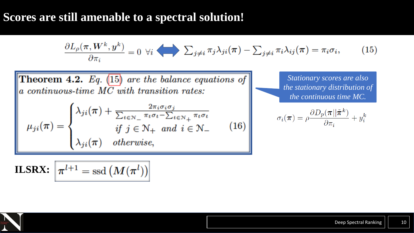### **Scores are still amenable to a spectral solution!**

$$
\frac{\partial L_{\rho}(\pi, W^k, y^k)}{\partial \pi_i} = 0 \ \forall i \ \sum_{j \neq i} \pi_j \lambda_{ji}(\pi) - \sum_{j \neq i} \pi_i \lambda_{ij}(\pi) = \pi_i \sigma_i, \qquad (15)
$$

**Theorem 4.2.** Eq.  $(15)$  are the balance equations of a continuous-time  $M\overline{C}$  with transition rates:

$$
\mu_{ji}(\pi) = \begin{cases} \lambda_{ji}(\pi) + \frac{2\pi_i \sigma_i \sigma_j}{\sum_{t \in \mathcal{N}_-} \pi_t \sigma_t - \sum_{t \in \mathcal{N}_+} \pi_t \sigma_t} \\ if \ j \in \mathcal{N}_+ \ and \ i \in \mathcal{N}_- \\ \lambda_{ji}(\pi) \ \ otherwise, \end{cases} \tag{16}
$$

*Stationary scores are also the stationary distribution of the continuous time MC.* 

$$
\sigma_i(\boldsymbol{\pi}) = \rho \frac{\partial D_p(\boldsymbol{\pi} || \tilde{\boldsymbol{\pi}}^k)}{\partial \pi_i} + y_i^k
$$

$$
\textbf{ILSRX: } \left[ \pi^{l+1} = \text{ssd} \left( M(\pi^l) \right) \right]
$$

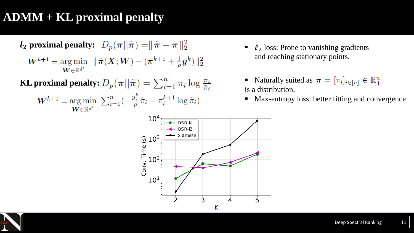# **ADMM + KL proximal penalty**

$$
\mathbf{l}_2 \text{ proximal penalty: } D_p(\pi || \tilde{\pi}) = || \tilde{\pi} - \pi ||_2^2
$$

$$
W^{k+1} = \underset{\mathbf{W} \in \mathbb{R}^{d'}}{\arg \min} \quad || \tilde{\pi}(X; \mathbf{W}) - (\pi^{k+1} + \frac{1}{\rho} y^k) ||_2^2
$$

**KL** proximal penalty:  $D_p(\pi || \tilde{\pi}) = \sum_{i=1}^n \pi_i \log \frac{\pi_i}{\tilde{\pi}_i}$ 

 $\label{eq:Wk+1} \begin{split} \boldsymbol{W}^{k+1} = \underset{\boldsymbol{W} \in \mathbb{R}^{d'}}{\arg\min} \ \sum_{i=1}^n ( - \tfrac{y_i^k}{\rho} \tilde{\pi}_i - \pi_i^{k+1} \log \tilde{\pi}_i ) \end{split}$ 

- $\bullet$   $\ell_2$  loss: Prone to vanishing gradients and reaching stationary points.
- Naturally suited as  $\pi = [\pi_i]_{i \in [n]} \in \mathbb{R}^n_+$ is a distribution.
- Max-entropy loss: better fitting and convergence



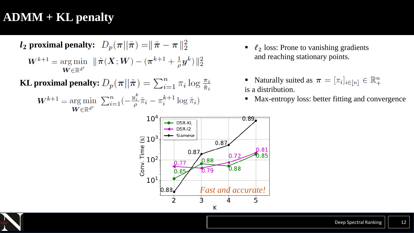# **ADMM + KL penalty**

$$
l_2
$$
 proximal penalty:  $D_p(\pi || \tilde{\pi}) = || \tilde{\pi} - \pi ||_2^2$ 

$$
W^{k+1} = \arg\min_{\bm{W} \in \mathbb{R}^{d'}} \ \|\tilde{\pi}(X; W) - (\pi^{k+1} + \frac{1}{\rho}y^k)\|_2^2
$$

**KL** proximal penalty:  $D_p(\pi || \tilde{\pi}) = \sum_{i=1}^n \pi_i \log \frac{\pi_i}{\tilde{\pi}_i}$ 

$$
W^{k+1} = \underset{\mathbf{W} \in \mathbb{R}^{d'}}{\arg \min} \ \sum_{i=1}^{n} \left( -\frac{y_i^k}{\rho} \tilde{\pi}_i - \pi_i^{k+1} \log \tilde{\pi}_i \right)
$$

- $\bullet$   $\ell_2$  loss: Prone to vanishing gradients and reaching stationary points.
- Naturally suited as  $\pi = [\pi_i]_{i \in [n]} \in \mathbb{R}_+^n$ is a distribution.
- Max-entropy loss: better fitting and convergence



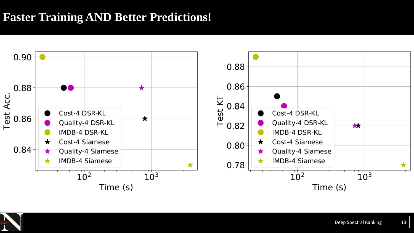# **Faster Training AND Better Predictions!**